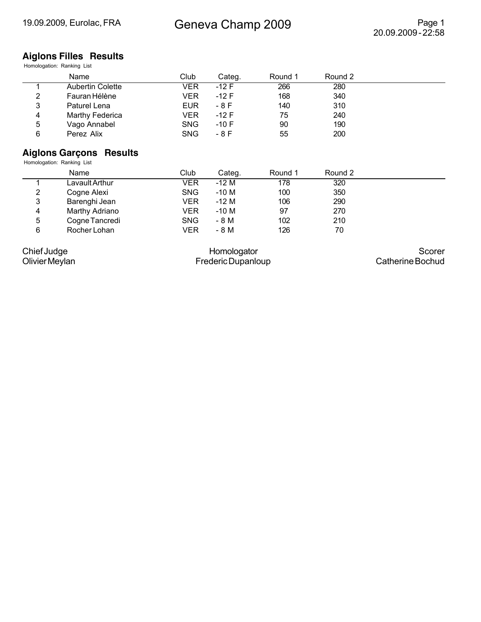#### **Aiglons Filles Results** Homologation: Ranking List

|   | Name                    | Club       | Categ. | Round 1 | Round 2 |  |
|---|-------------------------|------------|--------|---------|---------|--|
|   | <b>Aubertin Colette</b> | VER        | -12 F  | 266     | 280     |  |
| 2 | Fauran Hélène           | VER        | $-12F$ | 168     | 340     |  |
| 3 | Paturel Lena            | <b>EUR</b> | - 8 F  | 140     | 310     |  |
| 4 | Marthy Federica         | VER        | $-12F$ | 75      | 240     |  |
| 5 | Vago Annabel            | SNG.       | $-10F$ | 90      | 190     |  |
| 6 | Perez Alix              | <b>SNG</b> | - 8 F  | 55      | 200     |  |

#### **Aiglons Garçons Results**

Homologation: Ranking List

|   | Name           | Club       | Categ. | Round 1 | Round 2 |  |
|---|----------------|------------|--------|---------|---------|--|
|   | Lavault Arthur | VER        | $-12M$ | 178     | 320     |  |
| 2 | Cogne Alexi    | <b>SNG</b> | $-10M$ | 100     | 350     |  |
| 3 | Barenghi Jean  | VER        | $-12M$ | 106     | 290     |  |
| 4 | Marthy Adriano | VER        | $-10M$ | 97      | 270     |  |
| 5 | Cogne Tancredi | <b>SNG</b> | - 8 M  | 102     | 210     |  |
| 6 | Rocher Lohan   | VER        | - 8 M  | 126     | 70      |  |

Chief Judge

Olivier Meylan

Homologator Frederic Dupanloup

Scorer Catherine Bochud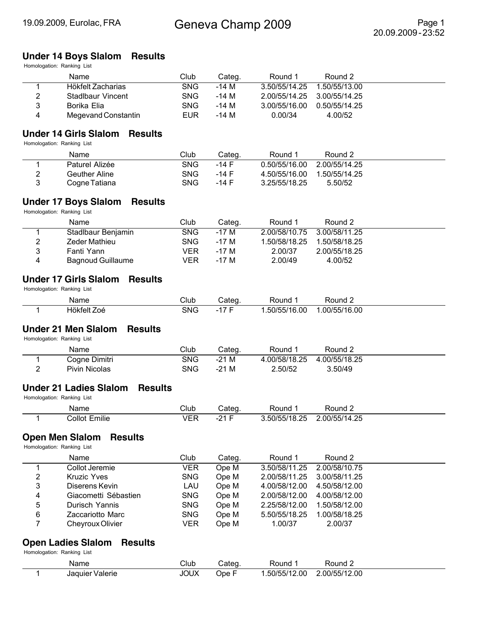## **Under 14 Boys Slalom Results**

Homologation: Ranking List

|   | Name                | Club       | Categ. | Round 1                     | Round 2       |  |
|---|---------------------|------------|--------|-----------------------------|---------------|--|
|   | Hökfelt Zacharias   | SNG.       | -14 M  | 3.50/55/14.25               | 1.50/55/13.00 |  |
| 2 | Stadlbaur Vincent   | SNG.       | -14 M  | 2.00/55/14.25 3.00/55/14.25 |               |  |
| 3 | Borika Elia         | SNG.       | -14 M  | 3.00/55/16.00               | 0.50/55/14.25 |  |
| 4 | Megevand Constantin | <b>EUR</b> | -14 M  | 0.00/34                     | 4.00/52       |  |

#### **Under 14 Girls Slalom Results**

Homologation: Ranking List

| Name           | Club | Categ. | Round 1       | Round 2       |  |
|----------------|------|--------|---------------|---------------|--|
| Paturel Alizée | SNG  | -14 F  | 0.50/55/16.00 | 2.00/55/14.25 |  |
| Geuther Aline  | SNG  | -14 F  | 4.50/55/16.00 | 1.50/55/14.25 |  |
| Cogne Tatiana  | SNG  | -14 F  | 3.25/55/18.25 | 5.50/52       |  |

### **Under 17 Boys Slalom Results**

Homologation: Ranking List

|   | Name                     | Club       | Categ. | Round 1       | Round 2       |
|---|--------------------------|------------|--------|---------------|---------------|
|   | Stadlbaur Benjamin       | SNG.       | -17 M  | 2.00/58/10.75 | 3.00/58/11.25 |
| 2 | Zeder Mathieu            | <b>SNG</b> | -17 M  | 1.50/58/18.25 | 1.50/58/18.25 |
| 2 | Fanti Yann               | VER        | -17 M  | 2.00/37       | 2.00/55/18.25 |
| 4 | <b>Bagnoud Guillaume</b> | VER        | -17 M  | 2.00/49       | 4.00/52       |

#### **Under 17 Girls Slalom Results**

Homologation: Ranking List

| Name                       | Club       | .ate∕<br>$\overline{\phantom{a}}$ | ⊀ound                          | 'ound        |  |
|----------------------------|------------|-----------------------------------|--------------------------------|--------------|--|
| .<br>-<br>elt Zoè<br>⊶Hör* | <b>SNG</b> |                                   | .00<br>50/55/<br><br>v<br>ישט. | .00/55/16.00 |  |

#### **Under 21 Men Slalom Results**

Homologation: Ranking List

| Name          | Club | Cateq. | Round         | Round 2       |  |
|---------------|------|--------|---------------|---------------|--|
| Cogne Dimitri | SNG  | $-21M$ | 4.00/58/18.25 | 4.00/55/18.25 |  |
| Pivin Nicolas | SNG  | $-21M$ | 2.50/52       | 3.50/49       |  |

#### **Under 21 Ladies Slalom Results**

Homologation: Ranking List

| Name                        | $\cap$ lub |                                | ∟חויר | Round                          |
|-----------------------------|------------|--------------------------------|-------|--------------------------------|
| .<br>allot:<br>milie<br>___ | VER        | 21<br>$\overline{\phantom{a}}$ | ΩE    | つら<br>00/55<br>. .<br>$-$<br>. |

#### **Open Men Slalom Results**

Homologation: Ranking List

|   | Name                 | Club       | Categ. | Round 1                     | Round 2       |  |
|---|----------------------|------------|--------|-----------------------------|---------------|--|
|   | Collot Jeremie       | VER        | Ope M  | 3.50/58/11.25 2.00/58/10.75 |               |  |
| 2 | <b>Kruzic Yves</b>   | <b>SNG</b> | Ope M  | 2.00/58/11.25 3.00/58/11.25 |               |  |
| 3 | Diserens Kevin       | LAU        | Ope M  | 4.00/58/12.00               | 4.50/58/12.00 |  |
| 4 | Giacometti Sébastien | <b>SNG</b> | Ope M  | 2.00/58/12.00               | 4.00/58/12.00 |  |
| 5 | Durisch Yannis       | <b>SNG</b> | Ope M  | 2.25/58/12.00               | 1.50/58/12.00 |  |
| 6 | Zaccariotto Marc     | <b>SNG</b> | Ope M  | 5.50/55/18.25               | 1.00/58/18.25 |  |
|   | Cheyroux Olivier     | VER        | Ope M  | 1.00/37                     | 2.00/37       |  |

#### **Open Ladies Slalom Results**

| Name            | Club        | Categ | Round        | Round $\sim$  |
|-----------------|-------------|-------|--------------|---------------|
| Jaquier Valerie | <b>JOUX</b> | Jpe ⊦ | .50/55/12.00 | 2.00/55/12.00 |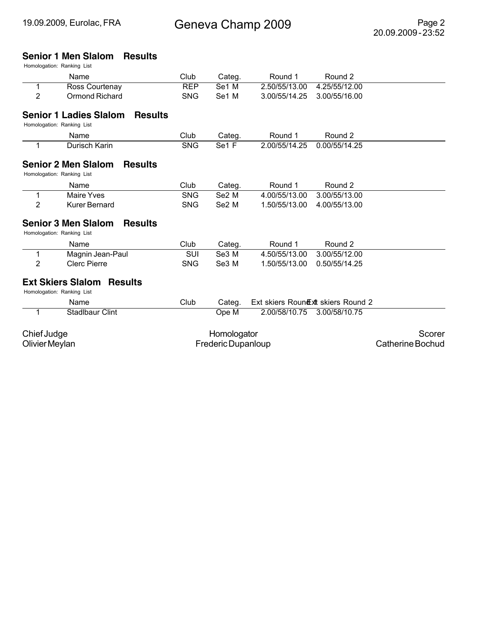## **Senior 1 Men Slalom Results**

| Name                                                                          | Club       | Categ.             | Round 1       | Round 2                             |                  |
|-------------------------------------------------------------------------------|------------|--------------------|---------------|-------------------------------------|------------------|
| 1<br>Ross Courtenay                                                           | <b>REP</b> | Se1 M              | 2.50/55/13.00 | 4.25/55/12.00                       |                  |
| $\overline{2}$<br>Ormond Richard                                              | <b>SNG</b> | Se1 M              | 3.00/55/14.25 | 3.00/55/16.00                       |                  |
| <b>Results</b><br><b>Senior 1 Ladies Slalom</b><br>Homologation: Ranking List |            |                    |               |                                     |                  |
| Name                                                                          | Club       | Categ.             | Round 1       | Round 2                             |                  |
| Durisch Karin<br>1                                                            | <b>SNG</b> | Se1F               | 2.00/55/14.25 | 0.00/55/14.25                       |                  |
| <b>Senior 2 Men Slalom</b><br><b>Results</b><br>Homologation: Ranking List    |            |                    |               |                                     |                  |
| Name                                                                          | Club       | Categ.             | Round 1       | Round 2                             |                  |
| <b>Maire Yves</b><br>1                                                        | <b>SNG</b> | Se2 M              | 4.00/55/13.00 | 3.00/55/13.00                       |                  |
| 2<br><b>Kurer Bernard</b>                                                     | <b>SNG</b> | Se2 M              | 1.50/55/13.00 | 4.00/55/13.00                       |                  |
| <b>Senior 3 Men Slalom</b><br><b>Results</b><br>Homologation: Ranking List    |            |                    |               |                                     |                  |
| Name                                                                          | Club       | Categ.             | Round 1       | Round 2                             |                  |
| Magnin Jean-Paul<br>1                                                         | SUI        | Se3 M              | 4.50/55/13.00 | 3.00/55/12.00                       |                  |
| $\overline{2}$<br><b>Clerc Pierre</b>                                         | <b>SNG</b> | Se3 M              | 1.50/55/13.00 | 0.50/55/14.25                       |                  |
| <b>Ext Skiers Slalom</b><br><b>Results</b><br>Homologation: Ranking List      |            |                    |               |                                     |                  |
| Name                                                                          | Club       | Categ.             |               | Ext skiers Round Ext skiers Round 2 |                  |
| <b>Stadlbaur Clint</b>                                                        |            | Ope M              | 2.00/58/10.75 | 3.00/58/10.75                       |                  |
| Chief Judge                                                                   |            | Homologator        |               |                                     | Scorer           |
| Olivier Meylan                                                                |            | Frederic Dupanloup |               |                                     | Catherine Bochud |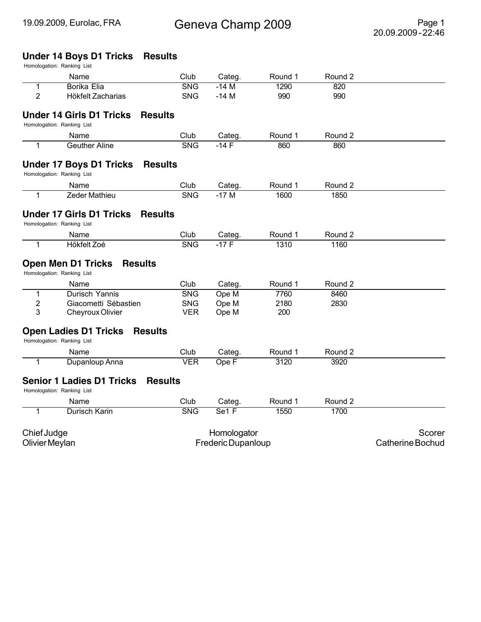#### **Under 14 Boys D1 Tricks Results**

|                         | Name                                                                            | Club                     | Categ.             | Round 1     | Round 2    |                         |
|-------------------------|---------------------------------------------------------------------------------|--------------------------|--------------------|-------------|------------|-------------------------|
| 1<br>$\overline{2}$     | <b>Borika Elia</b><br>Hökfelt Zacharias                                         | <b>SNG</b><br><b>SNG</b> | $-14M$<br>$-14M$   | 1290<br>990 | 820<br>990 |                         |
|                         | <b>Under 14 Girls D1 Tricks</b><br><b>Results</b>                               |                          |                    |             |            |                         |
|                         | Homologation: Ranking List                                                      |                          |                    |             |            |                         |
|                         | Name                                                                            | Club                     | Categ.             | Round 1     | Round 2    |                         |
| 1                       | <b>Geuther Aline</b>                                                            | <b>SNG</b>               | $-14F$             | 860         | 860        |                         |
|                         | <b>Under 17 Boys D1 Tricks</b><br><b>Results</b><br>Homologation: Ranking List  |                          |                    |             |            |                         |
|                         | Name                                                                            | Club                     | Categ.             | Round 1     | Round 2    |                         |
| 1                       | Zeder Mathieu                                                                   | <b>SNG</b>               | $-17M$             | 1600        | 1850       |                         |
|                         | <b>Under 17 Girls D1 Tricks</b><br><b>Results</b><br>Homologation: Ranking List |                          |                    |             |            |                         |
|                         | Name                                                                            | Club                     | Categ.             | Round 1     | Round 2    |                         |
| 1                       | Hökfelt Zoé                                                                     | <b>SNG</b>               | $-17F$             | 1310        | 1160       |                         |
|                         | <b>Open Men D1 Tricks</b><br><b>Results</b><br>Homologation: Ranking List       |                          |                    |             |            |                         |
|                         | Name                                                                            | Club                     | Categ.             | Round 1     | Round 2    |                         |
| 1                       | Durisch Yannis                                                                  | <b>SNG</b>               | Ope M              | 7760        | 8460       |                         |
| $\overline{\mathbf{c}}$ | Giacometti Sébastien                                                            | <b>SNG</b>               | Ope M              | 2180        | 2830       |                         |
| 3                       | Cheyroux Olivier                                                                | <b>VER</b>               | Ope M              | 200         |            |                         |
|                         | <b>Open Ladies D1 Tricks</b><br><b>Results</b><br>Homologation: Ranking List    |                          |                    |             |            |                         |
|                         | Name                                                                            | Club                     | Categ.             | Round 1     | Round 2    |                         |
| 1                       | Dupanloup Anna                                                                  | <b>VER</b>               | Ope F              | 3120        | 3920       |                         |
|                         | <b>Senior 1 Ladies D1 Tricks</b><br>Homologation: Ranking List                  | <b>Results</b>           |                    |             |            |                         |
|                         | Name                                                                            | Club                     | Categ.             | Round 1     | Round 2    |                         |
| 1                       | Durisch Karin                                                                   | <b>SNG</b>               | Se1 F              | 1550        | 1700       |                         |
| Chief Judge             |                                                                                 |                          | Homologator        |             |            | Scorer                  |
| Olivier Meylan          |                                                                                 |                          | Frederic Dupanloup |             |            | <b>Catherine Bochud</b> |
|                         |                                                                                 |                          |                    |             |            |                         |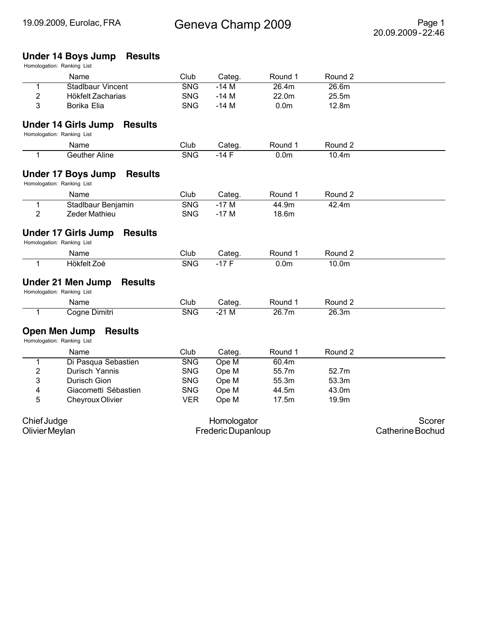#### **Under 14 Boys Jump Results**

|                         | Name                                                                       | Club       | Categ.             | Round 1          | Round 2 |                  |
|-------------------------|----------------------------------------------------------------------------|------------|--------------------|------------------|---------|------------------|
| 1                       | Stadlbaur Vincent                                                          | <b>SNG</b> | $-14M$             | 26.4m            | 26.6m   |                  |
| $\overline{\mathbf{c}}$ | Hökfelt Zacharias                                                          | <b>SNG</b> | $-14M$             | 22.0m            | 25.5m   |                  |
| 3                       | Borika Elia                                                                | <b>SNG</b> | $-14M$             | 0.0 <sub>m</sub> | 12.8m   |                  |
|                         | <b>Under 14 Girls Jump</b><br><b>Results</b>                               |            |                    |                  |         |                  |
|                         | Homologation: Ranking List                                                 |            |                    |                  |         |                  |
|                         | Name                                                                       | Club       | Categ.             | Round 1          | Round 2 |                  |
| 1                       | <b>Geuther Aline</b>                                                       | <b>SNG</b> | $-14F$             | 0.0 <sub>m</sub> | 10.4m   |                  |
|                         | <b>Under 17 Boys Jump</b><br><b>Results</b><br>Homologation: Ranking List  |            |                    |                  |         |                  |
|                         | Name                                                                       | Club       | Categ.             | Round 1          | Round 2 |                  |
| $\mathbf 1$             | Stadlbaur Benjamin                                                         | <b>SNG</b> | $-17M$             | 44.9m            | 42.4m   |                  |
| $\overline{2}$          | Zeder Mathieu                                                              | <b>SNG</b> | $-17M$             | 18.6m            |         |                  |
|                         | <b>Under 17 Girls Jump</b><br><b>Results</b><br>Homologation: Ranking List |            |                    |                  |         |                  |
|                         | Name                                                                       | Club       | Categ.             | Round 1          | Round 2 |                  |
| $\mathbf{1}$            | Hökfelt Zoé                                                                | <b>SNG</b> | $-17F$             | 0.0 <sub>m</sub> | 10.0m   |                  |
|                         | <b>Under 21 Men Jump</b><br><b>Results</b><br>Homologation: Ranking List   |            |                    |                  |         |                  |
|                         | Name                                                                       | Club       | Categ.             | Round 1          | Round 2 |                  |
| 1                       | Cogne Dimitri                                                              | <b>SNG</b> | $-21M$             | 26.7m            | 26.3m   |                  |
|                         | Open Men Jump<br><b>Results</b><br>Homologation: Ranking List              |            |                    |                  |         |                  |
|                         | Name                                                                       | Club       | Categ.             | Round 1          | Round 2 |                  |
| 1                       | Di Pasqua Sebastien                                                        | <b>SNG</b> | Ope M              | 60.4m            |         |                  |
| $\mathbf 2$             | Durisch Yannis                                                             | <b>SNG</b> | Ope M              | 55.7m            | 52.7m   |                  |
| 3                       | Durisch Gion                                                               | <b>SNG</b> | Ope M              | 55.3m            | 53.3m   |                  |
| 4                       | Giacometti Sébastien                                                       | <b>SNG</b> | Ope M              | 44.5m            | 43.0m   |                  |
| 5                       | Cheyroux Olivier                                                           | <b>VER</b> | Ope M              | 17.5m            | 19.9m   |                  |
| Chief Judge             |                                                                            |            | Homologator        |                  |         | Scorer           |
| Olivier Meylan          |                                                                            |            | Frederic Dupanloup |                  |         | Catherine Bochud |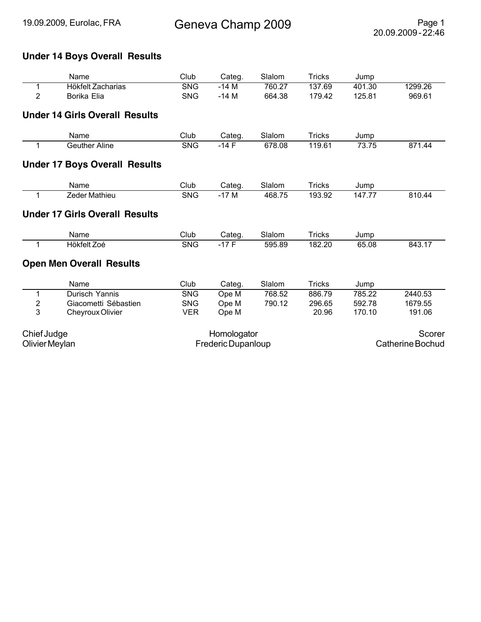## **Under 14 Boys Overall Results**

|                | Name                                  | Club               | Categ.      | Slalom | <b>Tricks</b> | Jump                    |         |  |
|----------------|---------------------------------------|--------------------|-------------|--------|---------------|-------------------------|---------|--|
| 1              | Hökfelt Zacharias                     | <b>SNG</b>         | $-14M$      | 760.27 | 137.69        | 401.30                  | 1299.26 |  |
| $\overline{2}$ | Borika Elia                           | <b>SNG</b>         | $-14M$      | 664.38 | 179.42        | 125.81                  | 969.61  |  |
|                | <b>Under 14 Girls Overall Results</b> |                    |             |        |               |                         |         |  |
|                | Name                                  | Club               | Categ.      | Slalom | <b>Tricks</b> | Jump                    |         |  |
| 1              | <b>Geuther Aline</b>                  | <b>SNG</b>         | $-14F$      | 678.08 | 119.61        | 73.75                   | 871.44  |  |
|                | <b>Under 17 Boys Overall Results</b>  |                    |             |        |               |                         |         |  |
|                | Name                                  | Club               | Categ.      | Slalom | <b>Tricks</b> | Jump                    |         |  |
| 1              | Zeder Mathieu                         | <b>SNG</b>         | $-17M$      | 468.75 | 193.92        | 147.77                  | 810.44  |  |
|                | <b>Under 17 Girls Overall Results</b> |                    |             |        |               |                         |         |  |
|                | Name                                  | Club               | Categ.      | Slalom | <b>Tricks</b> | Jump                    |         |  |
| 1              | Hökfelt Zoé                           | <b>SNG</b>         | $-17F$      | 595.89 | 182.20        | 65.08                   | 843.17  |  |
|                | <b>Open Men Overall Results</b>       |                    |             |        |               |                         |         |  |
|                | Name                                  | Club               | Categ.      | Slalom | <b>Tricks</b> | Jump                    |         |  |
| 1              | Durisch Yannis                        | <b>SNG</b>         | Ope M       | 768.52 | 886.79        | 785.22                  | 2440.53 |  |
| 2              | Giacometti Sébastien                  | <b>SNG</b>         | Ope M       | 790.12 | 296.65        | 592.78                  | 1679.55 |  |
| 3              | Cheyroux Olivier                      | <b>VER</b>         | Ope M       |        | 20.96         | 170.10                  | 191.06  |  |
| Chief Judge    |                                       |                    | Homologator |        |               |                         | Scorer  |  |
| Olivier Meylan |                                       | Frederic Dupanloup |             |        |               | <b>Catherine Bochud</b> |         |  |